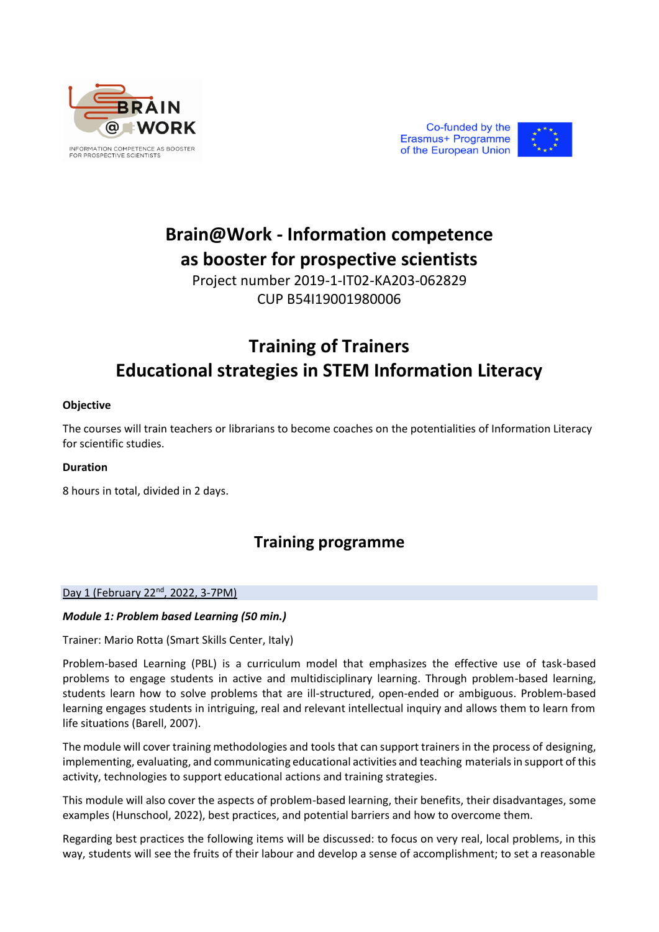





# **Brain@Work - Information competence as booster for prospective scientists**

Project number 2019-1-IT02-KA203-062829 CUP B54I19001980006

# **Training of Trainers Educational strategies in STEM Information Literacy**

# **Objective**

The courses will train teachers or librarians to become coaches on the potentialities of Information Literacy for scientific studies.

## **Duration**

8 hours in total, divided in 2 days.

# **Training programme**

### Day 1 (February 22<sup>nd</sup>, 2022, 3-7PM)

# *Module 1: Problem based Learning (50 min.)*

Trainer: Mario Rotta (Smart Skills Center, Italy)

Problem-based Learning (PBL) is a curriculum model that emphasizes the effective use of task-based problems to engage students in active and multidisciplinary learning. Through problem-based learning, students learn how to solve problems that are ill-structured, open-ended or ambiguous. Problem-based learning engages students in intriguing, real and relevant intellectual inquiry and allows them to learn from life situations (Barell, 2007).

The module will cover training methodologies and tools that can support trainers in the process of designing, implementing, evaluating, and communicating educational activities and teaching materials in support of this activity, technologies to support educational actions and training strategies.

This module will also cover the aspects of problem-based learning, their benefits, their disadvantages, some examples (Hunschool, 2022), best practices, and potential barriers and how to overcome them.

Regarding best practices the following items will be discussed: to focus on very real, local problems, in this way, students will see the fruits of their labour and develop a sense of accomplishment; to set a reasonable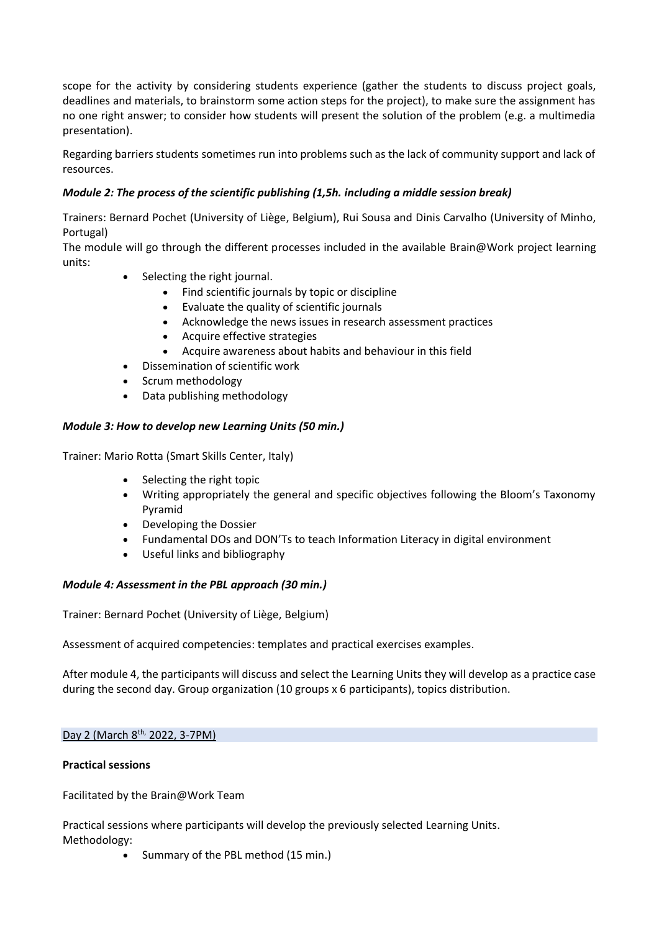scope for the activity by considering students experience (gather the students to discuss project goals, deadlines and materials, to brainstorm some action steps for the project), to make sure the assignment has no one right answer; to consider how students will present the solution of the problem (e.g. a multimedia presentation).

Regarding barriers students sometimes run into problems such as the lack of community support and lack of resources.

# *Module 2: The process of the scientific publishing (1,5h. including a middle session break)*

Trainers: Bernard Pochet (University of Liège, Belgium), Rui Sousa and Dinis Carvalho (University of Minho, Portugal)

The module will go through the different processes included in the available Brain@Work project learning units:

- Selecting the right journal.
	- Find scientific journals by topic or discipline
	- Evaluate the quality of scientific journals
	- Acknowledge the news issues in research assessment practices
	- Acquire effective strategies
	- Acquire awareness about habits and behaviour in this field
	- Dissemination of scientific work
- Scrum methodology
- Data publishing methodology

# *Module 3: How to develop new Learning Units (50 min.)*

Trainer: Mario Rotta (Smart Skills Center, Italy)

- Selecting the right topic
- Writing appropriately the general and specific objectives following the Bloom's Taxonomy Pyramid
- Developing the Dossier
- Fundamental DOs and DON'Ts to teach Information Literacy in digital environment
- Useful links and bibliography

### *Module 4: Assessment in the PBL approach (30 min.)*

Trainer: Bernard Pochet (University of Liège, Belgium)

Assessment of acquired competencies: templates and practical exercises examples.

After module 4, the participants will discuss and select the Learning Units they will develop as a practice case during the second day. Group organization (10 groups x 6 participants), topics distribution.

## Day 2 (March 8th, 2022, 3-7PM)

### **Practical sessions**

Facilitated by the Brain@Work Team

Practical sessions where participants will develop the previously selected Learning Units. Methodology:

• Summary of the PBL method (15 min.)